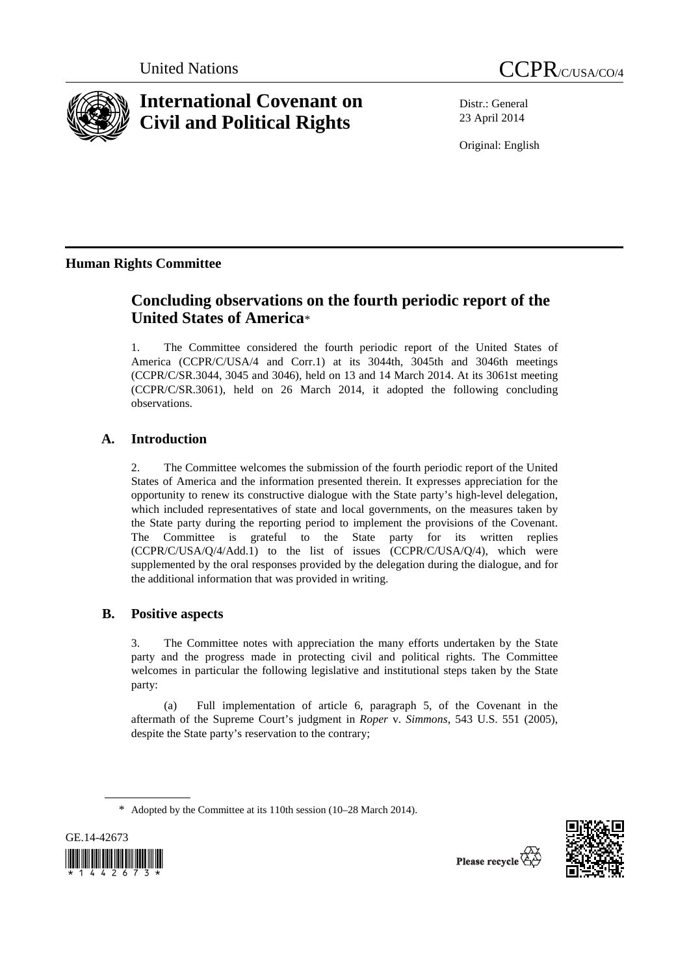



# **International Covenant on Civil and Political Rights**

Distr.: General 23 April 2014

Original: English

# **Human Rights Committee**

# **Concluding observations on the fourth periodic report of the United States of America**\*

1. The Committee considered the fourth periodic report of the United States of America (CCPR/C/USA/4 and Corr.1) at its 3044th, 3045th and 3046th meetings (CCPR/C/SR.3044, 3045 and 3046), held on 13 and 14 March 2014. At its 3061st meeting (CCPR/C/SR.3061), held on 26 March 2014, it adopted the following concluding observations.

# **A. Introduction**

2. The Committee welcomes the submission of the fourth periodic report of the United States of America and the information presented therein. It expresses appreciation for the opportunity to renew its constructive dialogue with the State party's high-level delegation, which included representatives of state and local governments, on the measures taken by the State party during the reporting period to implement the provisions of the Covenant. The Committee is grateful to the State party for its written replies (CCPR/C/USA/Q/4/Add.1) to the list of issues (CCPR/C/USA/Q/4), which were supplemented by the oral responses provided by the delegation during the dialogue, and for the additional information that was provided in writing.

### **B. Positive aspects**

3. The Committee notes with appreciation the many efforts undertaken by the State party and the progress made in protecting civil and political rights. The Committee welcomes in particular the following legislative and institutional steps taken by the State party:

 (a) Full implementation of article 6, paragraph 5, of the Covenant in the aftermath of the Supreme Court's judgment in *Roper* v. *Simmons*, 543 U.S. 551 (2005), despite the State party's reservation to the contrary;

<sup>\*</sup> Adopted by the Committee at its 110th session (10–28 March 2014).



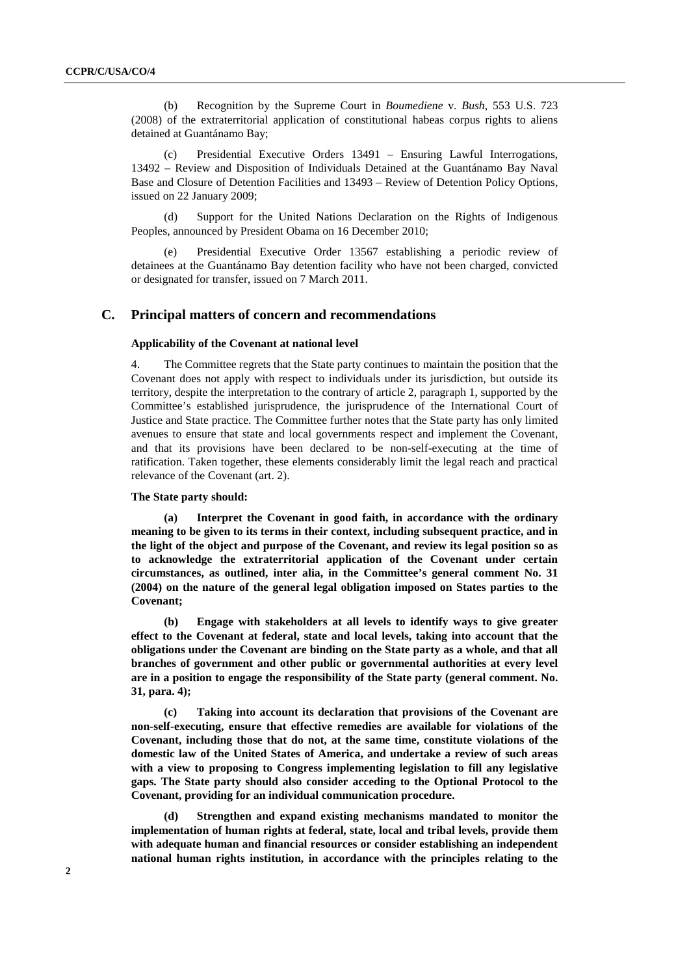(b) Recognition by the Supreme Court in *Boumediene* v. *Bush*, 553 U.S. 723 (2008) of the extraterritorial application of constitutional habeas corpus rights to aliens detained at Guantánamo Bay;

 (c) Presidential Executive Orders 13491 – Ensuring Lawful Interrogations, 13492 – Review and Disposition of Individuals Detained at the Guantánamo Bay Naval Base and Closure of Detention Facilities and 13493 – Review of Detention Policy Options, issued on 22 January 2009;

 (d) Support for the United Nations Declaration on the Rights of Indigenous Peoples, announced by President Obama on 16 December 2010;

 (e) Presidential Executive Order 13567 establishing a periodic review of detainees at the Guantánamo Bay detention facility who have not been charged, convicted or designated for transfer, issued on 7 March 2011.

#### **C. Principal matters of concern and recommendations**

#### **Applicability of the Covenant at national level**

4. The Committee regrets that the State party continues to maintain the position that the Covenant does not apply with respect to individuals under its jurisdiction, but outside its territory, despite the interpretation to the contrary of article 2, paragraph 1, supported by the Committee's established jurisprudence, the jurisprudence of the International Court of Justice and State practice. The Committee further notes that the State party has only limited avenues to ensure that state and local governments respect and implement the Covenant, and that its provisions have been declared to be non-self-executing at the time of ratification. Taken together, these elements considerably limit the legal reach and practical relevance of the Covenant (art. 2).

#### **The State party should:**

 **(a) Interpret the Covenant in good faith, in accordance with the ordinary meaning to be given to its terms in their context, including subsequent practice, and in the light of the object and purpose of the Covenant, and review its legal position so as to acknowledge the extraterritorial application of the Covenant under certain circumstances, as outlined, inter alia, in the Committee's general comment No. 31 (2004) on the nature of the general legal obligation imposed on States parties to the Covenant;** 

 **(b) Engage with stakeholders at all levels to identify ways to give greater effect to the Covenant at federal, state and local levels, taking into account that the obligations under the Covenant are binding on the State party as a whole, and that all branches of government and other public or governmental authorities at every level are in a position to engage the responsibility of the State party (general comment. No. 31, para. 4);** 

 **(c) Taking into account its declaration that provisions of the Covenant are non-self-executing, ensure that effective remedies are available for violations of the Covenant, including those that do not, at the same time, constitute violations of the domestic law of the United States of America, and undertake a review of such areas with a view to proposing to Congress implementing legislation to fill any legislative gaps. The State party should also consider acceding to the Optional Protocol to the Covenant, providing for an individual communication procedure.** 

 **(d) Strengthen and expand existing mechanisms mandated to monitor the implementation of human rights at federal, state, local and tribal levels, provide them with adequate human and financial resources or consider establishing an independent national human rights institution, in accordance with the principles relating to the**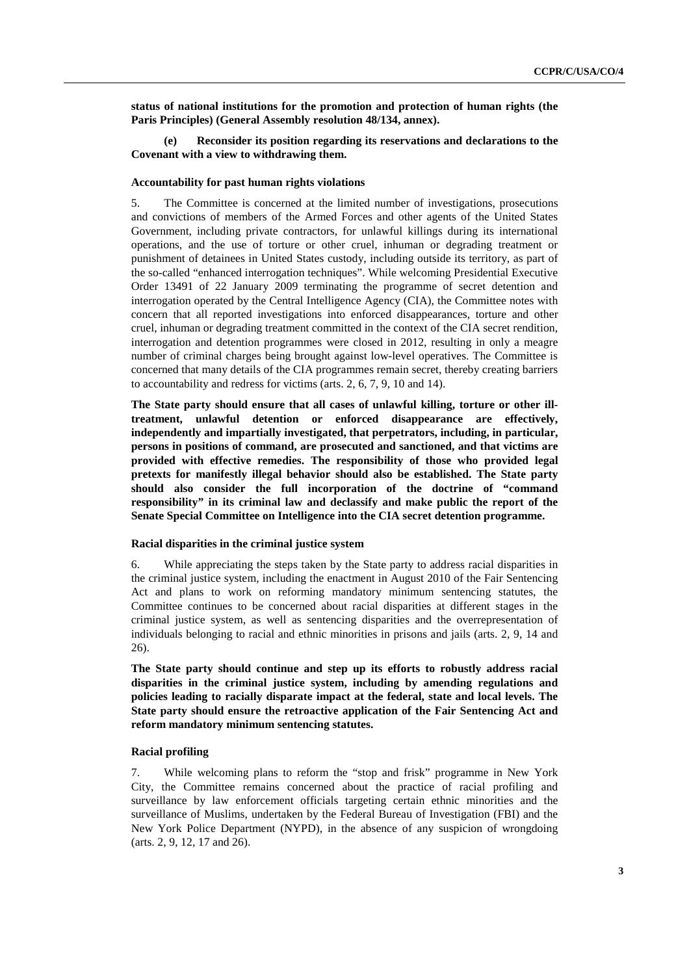**status of national institutions for the promotion and protection of human rights (the Paris Principles) (General Assembly resolution 48/134, annex).** 

#### **(e) Reconsider its position regarding its reservations and declarations to the Covenant with a view to withdrawing them.**

#### **Accountability for past human rights violations**

5. The Committee is concerned at the limited number of investigations, prosecutions and convictions of members of the Armed Forces and other agents of the United States Government, including private contractors, for unlawful killings during its international operations, and the use of torture or other cruel, inhuman or degrading treatment or punishment of detainees in United States custody, including outside its territory, as part of the so-called "enhanced interrogation techniques". While welcoming Presidential Executive Order 13491 of 22 January 2009 terminating the programme of secret detention and interrogation operated by the Central Intelligence Agency (CIA), the Committee notes with concern that all reported investigations into enforced disappearances, torture and other cruel, inhuman or degrading treatment committed in the context of the CIA secret rendition, interrogation and detention programmes were closed in 2012, resulting in only a meagre number of criminal charges being brought against low-level operatives. The Committee is concerned that many details of the CIA programmes remain secret, thereby creating barriers to accountability and redress for victims (arts. 2, 6, 7, 9, 10 and 14).

**The State party should ensure that all cases of unlawful killing, torture or other illtreatment, unlawful detention or enforced disappearance are effectively, independently and impartially investigated, that perpetrators, including, in particular, persons in positions of command, are prosecuted and sanctioned, and that victims are provided with effective remedies. The responsibility of those who provided legal pretexts for manifestly illegal behavior should also be established. The State party should also consider the full incorporation of the doctrine of "command responsibility" in its criminal law and declassify and make public the report of the Senate Special Committee on Intelligence into the CIA secret detention programme.** 

#### **Racial disparities in the criminal justice system**

6. While appreciating the steps taken by the State party to address racial disparities in the criminal justice system, including the enactment in August 2010 of the Fair Sentencing Act and plans to work on reforming mandatory minimum sentencing statutes, the Committee continues to be concerned about racial disparities at different stages in the criminal justice system, as well as sentencing disparities and the overrepresentation of individuals belonging to racial and ethnic minorities in prisons and jails (arts. 2, 9, 14 and 26).

**The State party should continue and step up its efforts to robustly address racial disparities in the criminal justice system, including by amending regulations and policies leading to racially disparate impact at the federal, state and local levels. The State party should ensure the retroactive application of the Fair Sentencing Act and reform mandatory minimum sentencing statutes.** 

#### **Racial profiling**

7. While welcoming plans to reform the "stop and frisk" programme in New York City, the Committee remains concerned about the practice of racial profiling and surveillance by law enforcement officials targeting certain ethnic minorities and the surveillance of Muslims, undertaken by the Federal Bureau of Investigation (FBI) and the New York Police Department (NYPD), in the absence of any suspicion of wrongdoing (arts. 2, 9, 12, 17 and 26).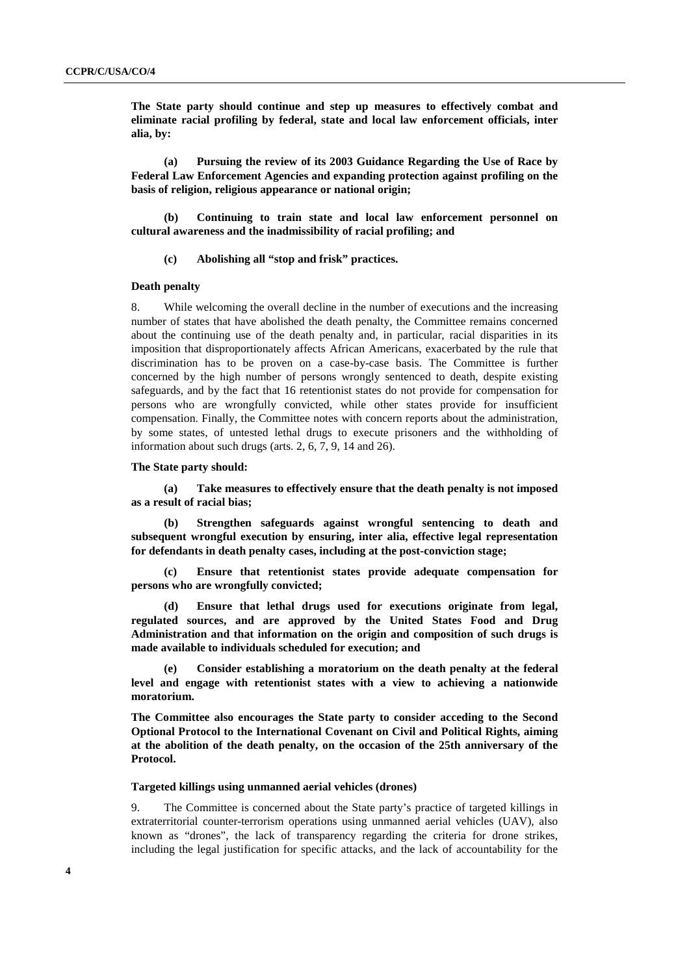**The State party should continue and step up measures to effectively combat and eliminate racial profiling by federal, state and local law enforcement officials, inter alia, by:** 

**(a) Pursuing the review of its 2003 Guidance Regarding the Use of Race by Federal Law Enforcement Agencies and expanding protection against profiling on the basis of religion, religious appearance or national origin;** 

**(b) Continuing to train state and local law enforcement personnel on cultural awareness and the inadmissibility of racial profiling; and** 

**(c) Abolishing all "stop and frisk" practices.** 

#### **Death penalty**

8. While welcoming the overall decline in the number of executions and the increasing number of states that have abolished the death penalty, the Committee remains concerned about the continuing use of the death penalty and, in particular, racial disparities in its imposition that disproportionately affects African Americans, exacerbated by the rule that discrimination has to be proven on a case-by-case basis. The Committee is further concerned by the high number of persons wrongly sentenced to death, despite existing safeguards, and by the fact that 16 retentionist states do not provide for compensation for persons who are wrongfully convicted, while other states provide for insufficient compensation. Finally, the Committee notes with concern reports about the administration, by some states, of untested lethal drugs to execute prisoners and the withholding of information about such drugs (arts. 2, 6, 7, 9, 14 and 26).

#### **The State party should:**

**(a) Take measures to effectively ensure that the death penalty is not imposed as a result of racial bias;** 

**(b) Strengthen safeguards against wrongful sentencing to death and subsequent wrongful execution by ensuring, inter alia, effective legal representation for defendants in death penalty cases, including at the post-conviction stage;** 

**(c) Ensure that retentionist states provide adequate compensation for persons who are wrongfully convicted;** 

**(d) Ensure that lethal drugs used for executions originate from legal, regulated sources, and are approved by the United States Food and Drug Administration and that information on the origin and composition of such drugs is made available to individuals scheduled for execution; and** 

Consider establishing a moratorium on the death penalty at the federal **level and engage with retentionist states with a view to achieving a nationwide moratorium.** 

**The Committee also encourages the State party to consider acceding to the Second Optional Protocol to the International Covenant on Civil and Political Rights, aiming at the abolition of the death penalty, on the occasion of the 25th anniversary of the Protocol.** 

#### **Targeted killings using unmanned aerial vehicles (drones)**

9. The Committee is concerned about the State party's practice of targeted killings in extraterritorial counter-terrorism operations using unmanned aerial vehicles (UAV), also known as "drones", the lack of transparency regarding the criteria for drone strikes, including the legal justification for specific attacks, and the lack of accountability for the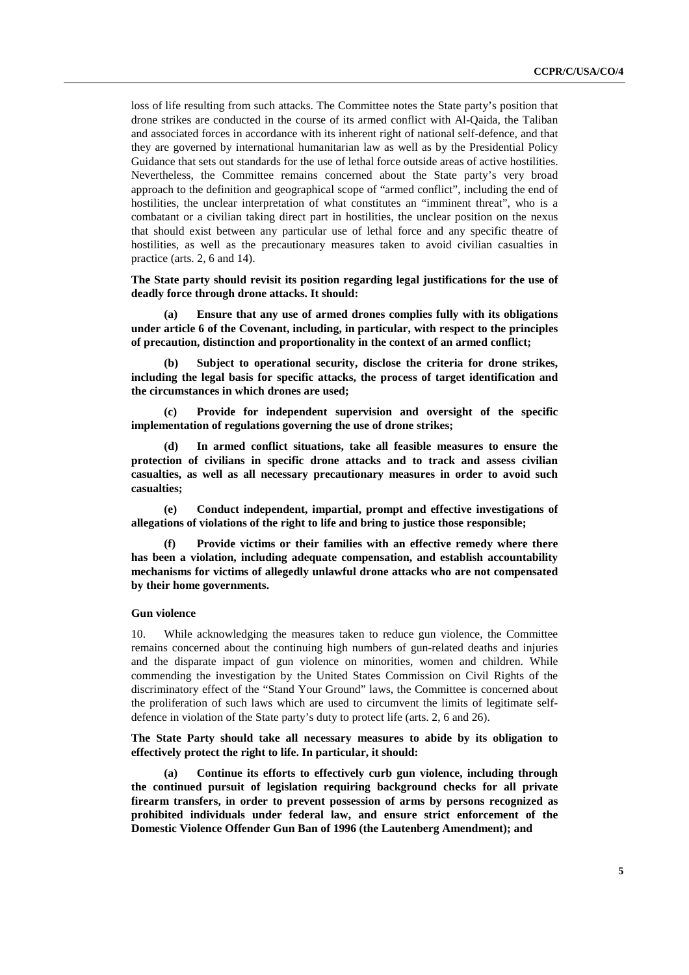loss of life resulting from such attacks. The Committee notes the State party's position that drone strikes are conducted in the course of its armed conflict with Al-Qaida, the Taliban and associated forces in accordance with its inherent right of national self-defence, and that they are governed by international humanitarian law as well as by the Presidential Policy Guidance that sets out standards for the use of lethal force outside areas of active hostilities. Nevertheless, the Committee remains concerned about the State party's very broad approach to the definition and geographical scope of "armed conflict", including the end of hostilities, the unclear interpretation of what constitutes an "imminent threat", who is a combatant or a civilian taking direct part in hostilities, the unclear position on the nexus that should exist between any particular use of lethal force and any specific theatre of hostilities, as well as the precautionary measures taken to avoid civilian casualties in practice (arts. 2, 6 and 14).

**The State party should revisit its position regarding legal justifications for the use of deadly force through drone attacks. It should:** 

**(a) Ensure that any use of armed drones complies fully with its obligations under article 6 of the Covenant, including, in particular, with respect to the principles of precaution, distinction and proportionality in the context of an armed conflict;** 

**(b) Subject to operational security, disclose the criteria for drone strikes, including the legal basis for specific attacks, the process of target identification and the circumstances in which drones are used;** 

**(c) Provide for independent supervision and oversight of the specific implementation of regulations governing the use of drone strikes;** 

**(d) In armed conflict situations, take all feasible measures to ensure the protection of civilians in specific drone attacks and to track and assess civilian casualties, as well as all necessary precautionary measures in order to avoid such casualties;** 

**(e) Conduct independent, impartial, prompt and effective investigations of allegations of violations of the right to life and bring to justice those responsible;** 

**(f) Provide victims or their families with an effective remedy where there has been a violation, including adequate compensation, and establish accountability mechanisms for victims of allegedly unlawful drone attacks who are not compensated by their home governments.** 

#### **Gun violence**

10. While acknowledging the measures taken to reduce gun violence, the Committee remains concerned about the continuing high numbers of gun-related deaths and injuries and the disparate impact of gun violence on minorities, women and children. While commending the investigation by the United States Commission on Civil Rights of the discriminatory effect of the "Stand Your Ground" laws, the Committee is concerned about the proliferation of such laws which are used to circumvent the limits of legitimate selfdefence in violation of the State party's duty to protect life (arts. 2, 6 and 26).

**The State Party should take all necessary measures to abide by its obligation to effectively protect the right to life. In particular, it should:** 

**(a) Continue its efforts to effectively curb gun violence, including through the continued pursuit of legislation requiring background checks for all private firearm transfers, in order to prevent possession of arms by persons recognized as prohibited individuals under federal law, and ensure strict enforcement of the Domestic Violence Offender Gun Ban of 1996 (the Lautenberg Amendment); and**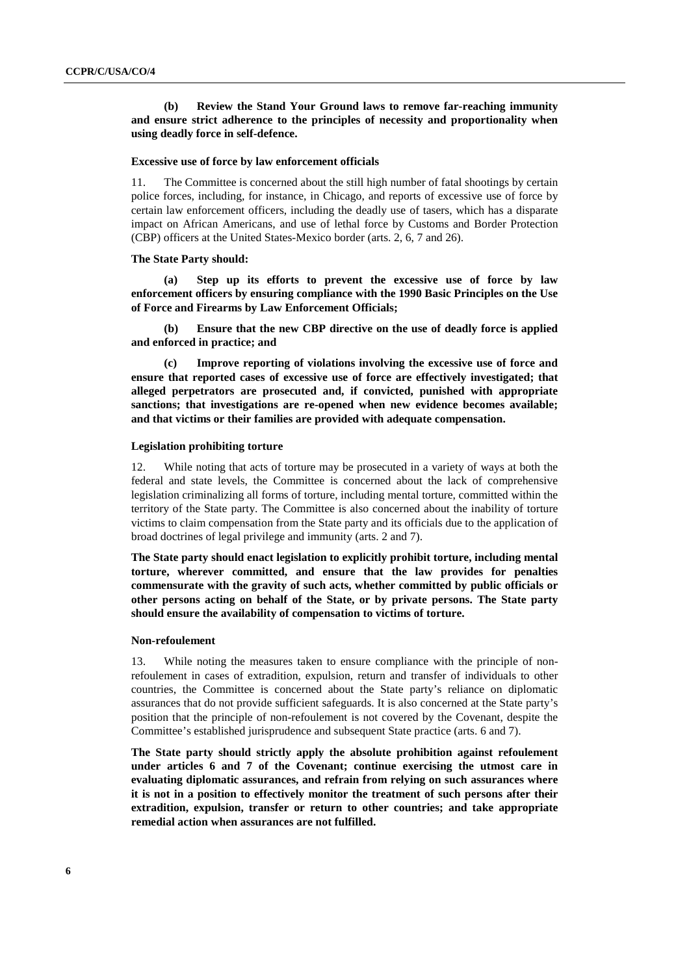**(b) Review the Stand Your Ground laws to remove far-reaching immunity and ensure strict adherence to the principles of necessity and proportionality when using deadly force in self-defence.** 

#### **Excessive use of force by law enforcement officials**

The Committee is concerned about the still high number of fatal shootings by certain police forces, including, for instance, in Chicago, and reports of excessive use of force by certain law enforcement officers, including the deadly use of tasers, which has a disparate impact on African Americans, and use of lethal force by Customs and Border Protection (CBP) officers at the United States-Mexico border (arts. 2, 6, 7 and 26).

#### **The State Party should:**

 **(a) Step up its efforts to prevent the excessive use of force by law enforcement officers by ensuring compliance with the 1990 Basic Principles on the Use of Force and Firearms by Law Enforcement Officials;** 

 **(b) Ensure that the new CBP directive on the use of deadly force is applied and enforced in practice; and** 

Improve reporting of violations involving the excessive use of force and **ensure that reported cases of excessive use of force are effectively investigated; that alleged perpetrators are prosecuted and, if convicted, punished with appropriate sanctions; that investigations are re-opened when new evidence becomes available; and that victims or their families are provided with adequate compensation.** 

#### **Legislation prohibiting torture**

12. While noting that acts of torture may be prosecuted in a variety of ways at both the federal and state levels, the Committee is concerned about the lack of comprehensive legislation criminalizing all forms of torture, including mental torture, committed within the territory of the State party. The Committee is also concerned about the inability of torture victims to claim compensation from the State party and its officials due to the application of broad doctrines of legal privilege and immunity (arts. 2 and 7).

**The State party should enact legislation to explicitly prohibit torture, including mental torture, wherever committed, and ensure that the law provides for penalties commensurate with the gravity of such acts, whether committed by public officials or other persons acting on behalf of the State, or by private persons. The State party should ensure the availability of compensation to victims of torture.** 

#### **Non-refoulement**

13. While noting the measures taken to ensure compliance with the principle of nonrefoulement in cases of extradition, expulsion, return and transfer of individuals to other countries, the Committee is concerned about the State party's reliance on diplomatic assurances that do not provide sufficient safeguards. It is also concerned at the State party's position that the principle of non-refoulement is not covered by the Covenant, despite the Committee's established jurisprudence and subsequent State practice (arts. 6 and 7).

**The State party should strictly apply the absolute prohibition against refoulement under articles 6 and 7 of the Covenant; continue exercising the utmost care in evaluating diplomatic assurances, and refrain from relying on such assurances where it is not in a position to effectively monitor the treatment of such persons after their extradition, expulsion, transfer or return to other countries; and take appropriate remedial action when assurances are not fulfilled.**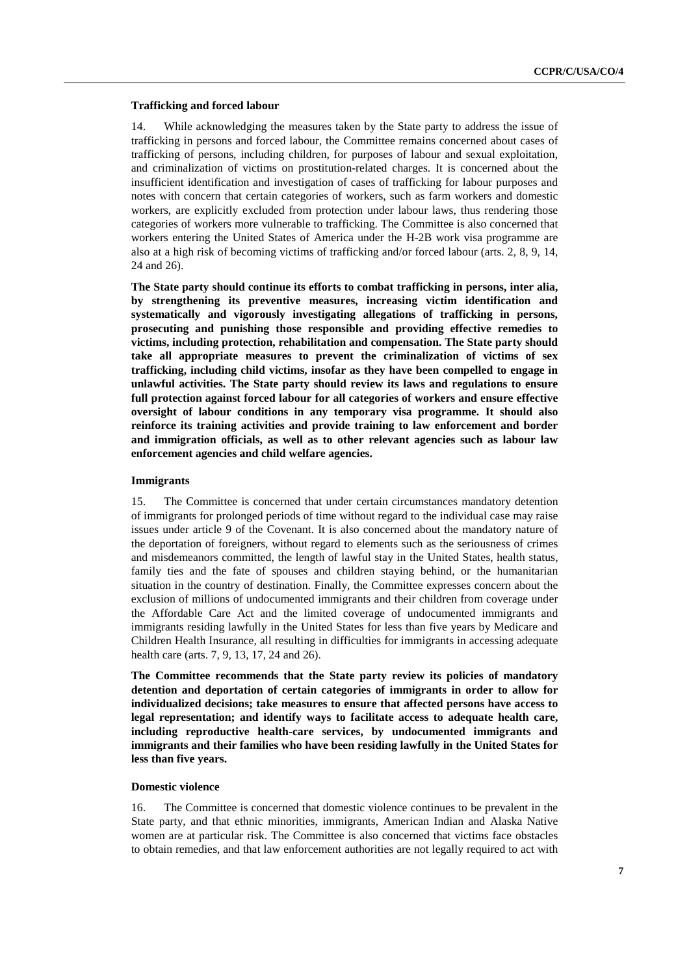#### **Trafficking and forced labour**

14. While acknowledging the measures taken by the State party to address the issue of trafficking in persons and forced labour, the Committee remains concerned about cases of trafficking of persons, including children, for purposes of labour and sexual exploitation, and criminalization of victims on prostitution-related charges. It is concerned about the insufficient identification and investigation of cases of trafficking for labour purposes and notes with concern that certain categories of workers, such as farm workers and domestic workers, are explicitly excluded from protection under labour laws, thus rendering those categories of workers more vulnerable to trafficking. The Committee is also concerned that workers entering the United States of America under the H-2B work visa programme are also at a high risk of becoming victims of trafficking and/or forced labour (arts. 2, 8, 9, 14, 24 and 26).

**The State party should continue its efforts to combat trafficking in persons, inter alia, by strengthening its preventive measures, increasing victim identification and systematically and vigorously investigating allegations of trafficking in persons, prosecuting and punishing those responsible and providing effective remedies to victims, including protection, rehabilitation and compensation. The State party should take all appropriate measures to prevent the criminalization of victims of sex trafficking, including child victims, insofar as they have been compelled to engage in unlawful activities. The State party should review its laws and regulations to ensure full protection against forced labour for all categories of workers and ensure effective oversight of labour conditions in any temporary visa programme. It should also reinforce its training activities and provide training to law enforcement and border and immigration officials, as well as to other relevant agencies such as labour law enforcement agencies and child welfare agencies.** 

#### **Immigrants**

15. The Committee is concerned that under certain circumstances mandatory detention of immigrants for prolonged periods of time without regard to the individual case may raise issues under article 9 of the Covenant. It is also concerned about the mandatory nature of the deportation of foreigners, without regard to elements such as the seriousness of crimes and misdemeanors committed, the length of lawful stay in the United States, health status, family ties and the fate of spouses and children staying behind, or the humanitarian situation in the country of destination. Finally, the Committee expresses concern about the exclusion of millions of undocumented immigrants and their children from coverage under the Affordable Care Act and the limited coverage of undocumented immigrants and immigrants residing lawfully in the United States for less than five years by Medicare and Children Health Insurance, all resulting in difficulties for immigrants in accessing adequate health care (arts. 7, 9, 13, 17, 24 and 26).

**The Committee recommends that the State party review its policies of mandatory detention and deportation of certain categories of immigrants in order to allow for individualized decisions; take measures to ensure that affected persons have access to legal representation; and identify ways to facilitate access to adequate health care, including reproductive health-care services, by undocumented immigrants and immigrants and their families who have been residing lawfully in the United States for less than five years.** 

#### **Domestic violence**

16. The Committee is concerned that domestic violence continues to be prevalent in the State party, and that ethnic minorities, immigrants, American Indian and Alaska Native women are at particular risk. The Committee is also concerned that victims face obstacles to obtain remedies, and that law enforcement authorities are not legally required to act with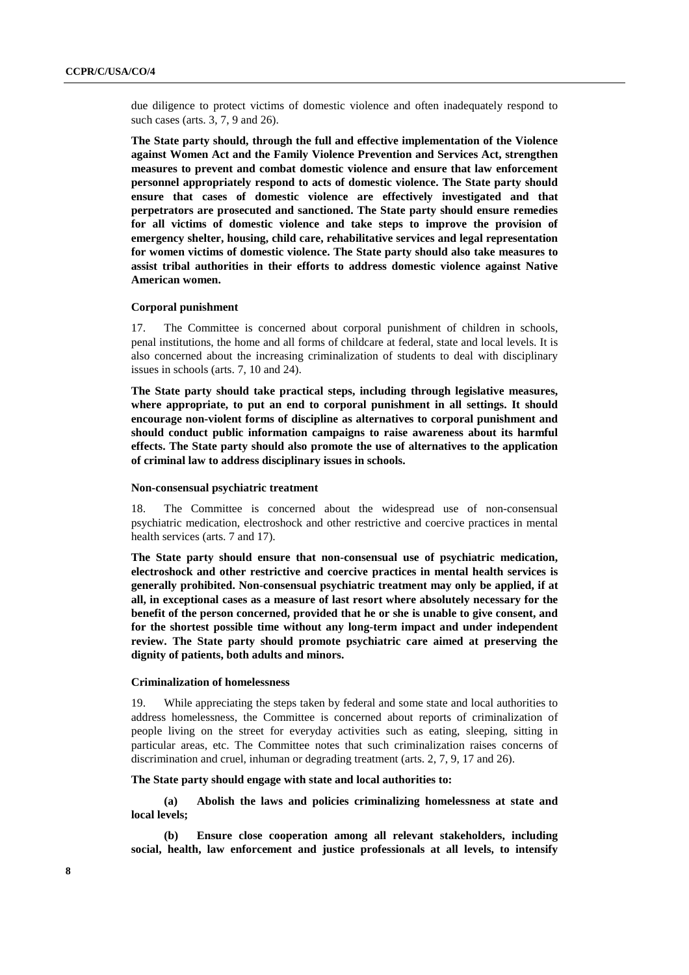due diligence to protect victims of domestic violence and often inadequately respond to such cases (arts. 3, 7, 9 and 26).

**The State party should, through the full and effective implementation of the Violence against Women Act and the Family Violence Prevention and Services Act, strengthen measures to prevent and combat domestic violence and ensure that law enforcement personnel appropriately respond to acts of domestic violence. The State party should ensure that cases of domestic violence are effectively investigated and that perpetrators are prosecuted and sanctioned. The State party should ensure remedies for all victims of domestic violence and take steps to improve the provision of emergency shelter, housing, child care, rehabilitative services and legal representation for women victims of domestic violence. The State party should also take measures to assist tribal authorities in their efforts to address domestic violence against Native American women.** 

#### **Corporal punishment**

17. The Committee is concerned about corporal punishment of children in schools, penal institutions, the home and all forms of childcare at federal, state and local levels. It is also concerned about the increasing criminalization of students to deal with disciplinary issues in schools (arts. 7, 10 and 24).

**The State party should take practical steps, including through legislative measures, where appropriate, to put an end to corporal punishment in all settings. It should encourage non-violent forms of discipline as alternatives to corporal punishment and should conduct public information campaigns to raise awareness about its harmful effects. The State party should also promote the use of alternatives to the application of criminal law to address disciplinary issues in schools.** 

#### **Non-consensual psychiatric treatment**

18. The Committee is concerned about the widespread use of non-consensual psychiatric medication, electroshock and other restrictive and coercive practices in mental health services (arts. 7 and 17).

**The State party should ensure that non-consensual use of psychiatric medication, electroshock and other restrictive and coercive practices in mental health services is generally prohibited. Non-consensual psychiatric treatment may only be applied, if at all, in exceptional cases as a measure of last resort where absolutely necessary for the benefit of the person concerned, provided that he or she is unable to give consent, and for the shortest possible time without any long-term impact and under independent review. The State party should promote psychiatric care aimed at preserving the dignity of patients, both adults and minors.** 

#### **Criminalization of homelessness**

19. While appreciating the steps taken by federal and some state and local authorities to address homelessness, the Committee is concerned about reports of criminalization of people living on the street for everyday activities such as eating, sleeping, sitting in particular areas, etc. The Committee notes that such criminalization raises concerns of discrimination and cruel, inhuman or degrading treatment (arts. 2, 7, 9, 17 and 26).

**The State party should engage with state and local authorities to:** 

 **(a) Abolish the laws and policies criminalizing homelessness at state and local levels;** 

**(b) Ensure close cooperation among all relevant stakeholders, including social, health, law enforcement and justice professionals at all levels, to intensify**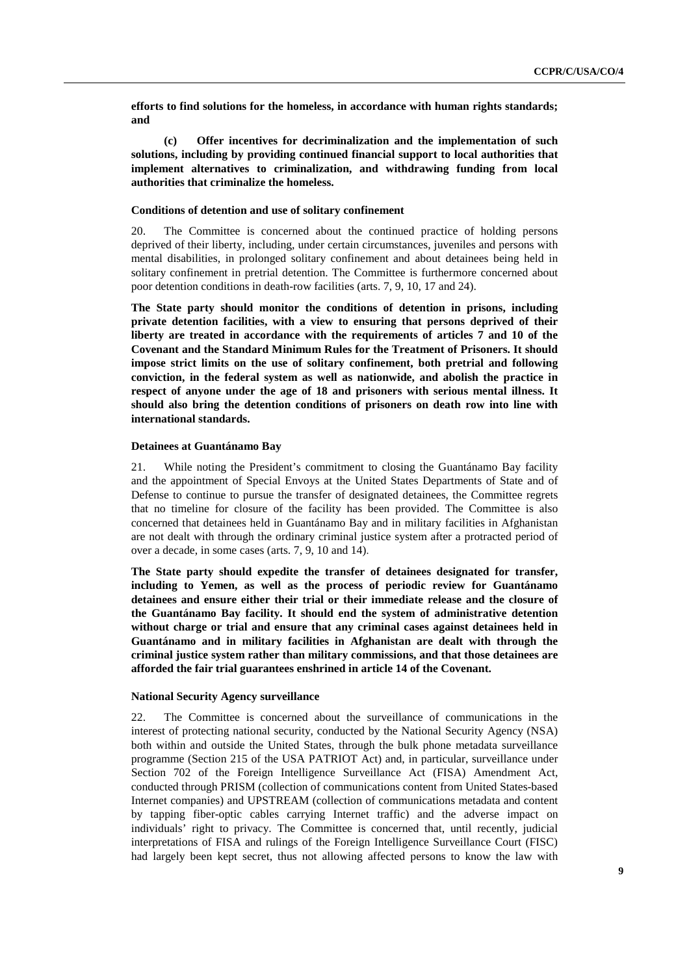**efforts to find solutions for the homeless, in accordance with human rights standards; and** 

**(c) Offer incentives for decriminalization and the implementation of such solutions, including by providing continued financial support to local authorities that implement alternatives to criminalization, and withdrawing funding from local authorities that criminalize the homeless.** 

#### **Conditions of detention and use of solitary confinement**

20. The Committee is concerned about the continued practice of holding persons deprived of their liberty, including, under certain circumstances, juveniles and persons with mental disabilities, in prolonged solitary confinement and about detainees being held in solitary confinement in pretrial detention. The Committee is furthermore concerned about poor detention conditions in death-row facilities (arts. 7, 9, 10, 17 and 24).

**The State party should monitor the conditions of detention in prisons, including private detention facilities, with a view to ensuring that persons deprived of their liberty are treated in accordance with the requirements of articles 7 and 10 of the Covenant and the Standard Minimum Rules for the Treatment of Prisoners. It should impose strict limits on the use of solitary confinement, both pretrial and following conviction, in the federal system as well as nationwide, and abolish the practice in respect of anyone under the age of 18 and prisoners with serious mental illness. It should also bring the detention conditions of prisoners on death row into line with international standards.** 

#### **Detainees at Guantánamo Bay**

21. While noting the President's commitment to closing the Guantánamo Bay facility and the appointment of Special Envoys at the United States Departments of State and of Defense to continue to pursue the transfer of designated detainees, the Committee regrets that no timeline for closure of the facility has been provided. The Committee is also concerned that detainees held in Guantánamo Bay and in military facilities in Afghanistan are not dealt with through the ordinary criminal justice system after a protracted period of over a decade, in some cases (arts. 7, 9, 10 and 14).

**The State party should expedite the transfer of detainees designated for transfer, including to Yemen, as well as the process of periodic review for Guantánamo detainees and ensure either their trial or their immediate release and the closure of the Guantánamo Bay facility. It should end the system of administrative detention without charge or trial and ensure that any criminal cases against detainees held in Guantánamo and in military facilities in Afghanistan are dealt with through the criminal justice system rather than military commissions, and that those detainees are afforded the fair trial guarantees enshrined in article 14 of the Covenant.** 

#### **National Security Agency surveillance**

22. The Committee is concerned about the surveillance of communications in the interest of protecting national security, conducted by the National Security Agency (NSA) both within and outside the United States, through the bulk phone metadata surveillance programme (Section 215 of the USA PATRIOT Act) and, in particular, surveillance under Section 702 of the Foreign Intelligence Surveillance Act (FISA) Amendment Act, conducted through PRISM (collection of communications content from United States-based Internet companies) and UPSTREAM (collection of communications metadata and content by tapping fiber-optic cables carrying Internet traffic) and the adverse impact on individuals' right to privacy. The Committee is concerned that, until recently, judicial interpretations of FISA and rulings of the Foreign Intelligence Surveillance Court (FISC) had largely been kept secret, thus not allowing affected persons to know the law with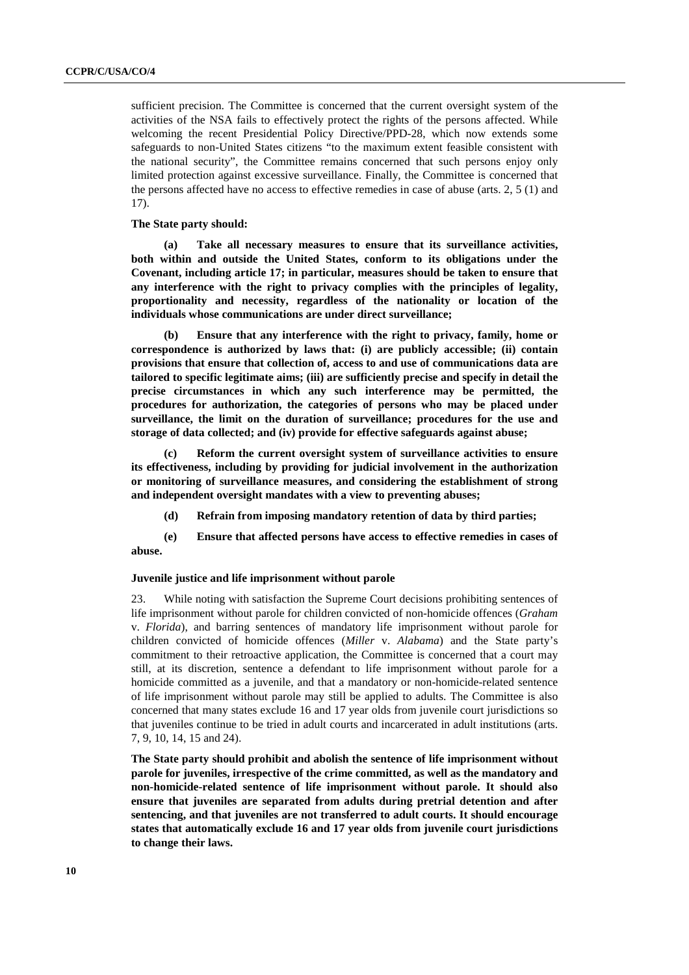sufficient precision. The Committee is concerned that the current oversight system of the activities of the NSA fails to effectively protect the rights of the persons affected. While welcoming the recent Presidential Policy Directive/PPD-28, which now extends some safeguards to non-United States citizens "to the maximum extent feasible consistent with the national security", the Committee remains concerned that such persons enjoy only limited protection against excessive surveillance. Finally, the Committee is concerned that the persons affected have no access to effective remedies in case of abuse (arts. 2, 5 (1) and 17).

#### **The State party should:**

 **(a) Take all necessary measures to ensure that its surveillance activities, both within and outside the United States, conform to its obligations under the Covenant, including article 17; in particular, measures should be taken to ensure that any interference with the right to privacy complies with the principles of legality, proportionality and necessity, regardless of the nationality or location of the individuals whose communications are under direct surveillance;** 

 **(b) Ensure that any interference with the right to privacy, family, home or correspondence is authorized by laws that: (i) are publicly accessible; (ii) contain provisions that ensure that collection of, access to and use of communications data are tailored to specific legitimate aims; (iii) are sufficiently precise and specify in detail the precise circumstances in which any such interference may be permitted, the procedures for authorization, the categories of persons who may be placed under surveillance, the limit on the duration of surveillance; procedures for the use and storage of data collected; and (iv) provide for effective safeguards against abuse;** 

 **(c) Reform the current oversight system of surveillance activities to ensure its effectiveness, including by providing for judicial involvement in the authorization or monitoring of surveillance measures, and considering the establishment of strong and independent oversight mandates with a view to preventing abuses;** 

 **(d) Refrain from imposing mandatory retention of data by third parties;** 

 **(e) Ensure that affected persons have access to effective remedies in cases of abuse.** 

#### **Juvenile justice and life imprisonment without parole**

23. While noting with satisfaction the Supreme Court decisions prohibiting sentences of life imprisonment without parole for children convicted of non-homicide offences (*Graham* v. *Florida*), and barring sentences of mandatory life imprisonment without parole for children convicted of homicide offences (*Miller* v. *Alabama*) and the State party's commitment to their retroactive application, the Committee is concerned that a court may still, at its discretion, sentence a defendant to life imprisonment without parole for a homicide committed as a juvenile, and that a mandatory or non-homicide-related sentence of life imprisonment without parole may still be applied to adults. The Committee is also concerned that many states exclude 16 and 17 year olds from juvenile court jurisdictions so that juveniles continue to be tried in adult courts and incarcerated in adult institutions (arts. 7, 9, 10, 14, 15 and 24).

**The State party should prohibit and abolish the sentence of life imprisonment without parole for juveniles, irrespective of the crime committed, as well as the mandatory and non-homicide-related sentence of life imprisonment without parole. It should also ensure that juveniles are separated from adults during pretrial detention and after sentencing, and that juveniles are not transferred to adult courts. It should encourage states that automatically exclude 16 and 17 year olds from juvenile court jurisdictions to change their laws.**